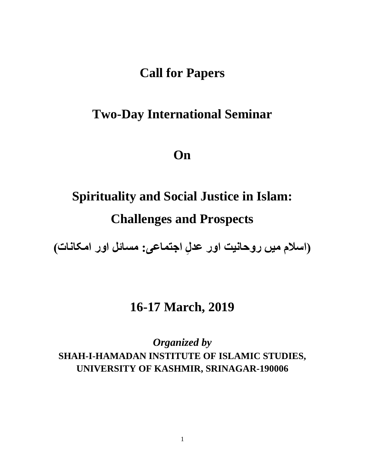## **Call for Papers**

# **Two-Day International Seminar**

**On**

# **Spirituality and Social Justice in Islam: Challenges and Prospects**

**اسالم میں روحانیت اور عد ِل : مسائل اور امکانات( ) اجتماعی**

### **16-17 March, 2019**

*Organized by* **SHAH-I-HAMADAN INSTITUTE OF ISLAMIC STUDIES, UNIVERSITY OF KASHMIR, SRINAGAR-190006**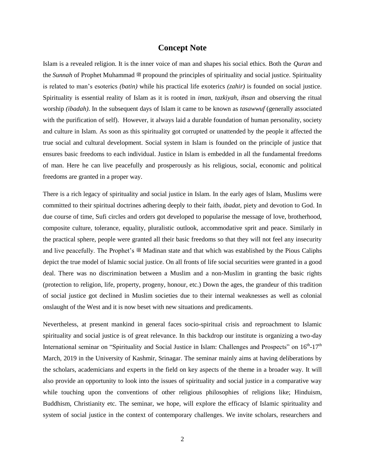### **Concept Note**

Islam is a revealed religion. It is the inner voice of man and shapes his social ethics. Both the *Quran* and the *Sunnah* of Prophet Muhammad <sup>on</sup> propound the principles of spirituality and social justice. Spirituality is related to man's esoterics *(batin)* while his practical life exoterics *(zahir)* is founded on social justice. Spirituality is essential reality of Islam as it is rooted in *iman, tazkiyah, ihsan* and observing the ritual worship *(ibadah)*. In the subsequent days of Islam it came to be known as *tasawwuf* (generally associated with the purification of self). However, it always laid a durable foundation of human personality, society and culture in Islam. As soon as this spirituality got corrupted or unattended by the people it affected the true social and cultural development. Social system in Islam is founded on the principle of justice that ensures basic freedoms to each individual. Justice in Islam is embedded in all the fundamental freedoms of man. Here he can live peacefully and prosperously as his religious, social, economic and political freedoms are granted in a proper way.

There is a rich legacy of spirituality and social justice in Islam. In the early ages of Islam, Muslims were committed to their spiritual doctrines adhering deeply to their faith, *ibadat,* piety and devotion to God. In due course of time, Sufi circles and orders got developed to popularise the message of love, brotherhood, composite culture, tolerance, equality, pluralistic outlook, accommodative sprit and peace. Similarly in the practical sphere, people were granted all their basic freedoms so that they will not feel any insecurity and live peacefully. The Prophet's  $\cong$  Madinan state and that which was established by the Pious Caliphs depict the true model of Islamic social justice. On all fronts of life social securities were granted in a good deal. There was no discrimination between a Muslim and a non-Muslim in granting the basic rights (protection to religion, life, property, progeny, honour, etc.) Down the ages, the grandeur of this tradition of social justice got declined in Muslim societies due to their internal weaknesses as well as colonial onslaught of the West and it is now beset with new situations and predicaments.

Nevertheless, at present mankind in general faces socio-spiritual crisis and reproachment to Islamic spirituality and social justice is of great relevance. In this backdrop our institute is organizing a two-day International seminar on "Spirituality and Social Justice in Islam: Challenges and Prospects" on 16<sup>th</sup>-17<sup>th</sup> March, 2019 in the University of Kashmir, Srinagar. The seminar mainly aims at having deliberations by the scholars, academicians and experts in the field on key aspects of the theme in a broader way. It will also provide an opportunity to look into the issues of spirituality and social justice in a comparative way while touching upon the conventions of other religious philosophies of religions like; Hinduism, Buddhism, Christianity etc. The seminar, we hope, will explore the efficacy of Islamic spirituality and system of social justice in the context of contemporary challenges. We invite scholars, researchers and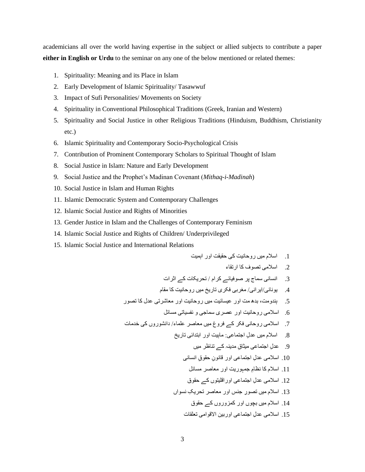academicians all over the world having expertise in the subject or allied subjects to contribute a paper **either in English or Urdu** to the seminar on any one of the below mentioned or related themes:

- 1. Spirituality: Meaning and its Place in Islam
- 2. Early Development of Islamic Spirituality/ Tasawwuf
- 3. Impact of Sufi Personalities/ Movements on Society
- 4. Spirituality in Conventional Philosophical Traditions (Greek, Iranian and Western)
- 5. Spirituality and Social Justice in other Religious Traditions (Hinduism, Buddhism, Christianity etc.)
- 6. Islamic Spirituality and Contemporary Socio-Psychological Crisis
- 7. Contribution of Prominent Contemporary Scholars to Spiritual Thought of Islam
- 8. Social Justice in Islam: Nature and Early Development
- 9. Social Justice and the Prophet's Madinan Covenant (*Mithaq-i-Madinah*)
- 10. Social Justice in Islam and Human Rights
- 11. Islamic Democratic System and Contemporary Challenges
- 12. Islamic Social Justice and Rights of Minorities
- 13. Gender Justice in Islam and the Challenges of Contemporary Feminism
- 14. Islamic Social Justice and Rights of Children/ Underprivileged
- 15. Islamic Social Justice and International Relations

.1 اسالم میں روحاویت کی حقیقت اور اہمیت

.2 اسالمی تصوف کا ارتقاء

.3 اوساوی سماج پر صوفیائے کرام / تحریکات کے اثرات

.4 یوواوی/ایراوی/ مغربی فکری تاریخ میں روحاویت کا مقام

- .5 ہىدومت، بدھ مت اور عیسائیت میں روحاویت اور معاشرتی عدل کا تصور
	- .6 اسالمی روحاویت اور عصری سماجی و وفسیاتی مسائل
- 7. اسلامی روحانی فکر کے فروغ میں معاصر علماء/ دانشوروں کی خدمات
	- 8. اسلام میں عدل اجتماعی: ماہیت اور ابتدائی تاریخ

ِق مدیىہ کے تىاظر میں .9 عد ِل اجتماعی میثا

- 10. اسلامی عدلِ اجتماعی اور قانون حقوق انسانی
	- .11 اسالم کا وظاِم جمہوریت اور معاصر مسائل
- .12 اسالمی عد ِل اجتماعی اوراقلیتوں کے حقوق
- 13. اسلام میں تصورِ جنس اور معاصر تحریکِ نسواں
	- .14 اسالم میں بچوں اور کمزوروں کے حقوق
	- 15. اسلامی عدل اجتماعی اوربین الاقوام*ی* تعلقات